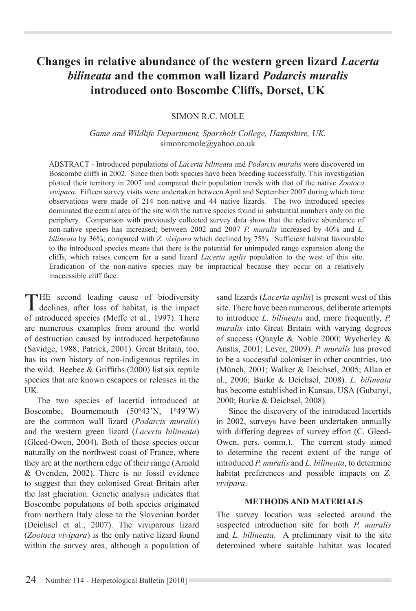# **Changes in relative abundance of the western green lizard** *Lacerta bilineata* **and the common wall lizard** *Podarcis muralis* **introduced onto Boscombe Cliffs, Dorset, UK**

## SIMON R.C. MOLE

*Game and Wildlife Department, Sparsholt College, Hampshire, UK.* simonrcmole@yahoo.co.uk

ABSTRACT - Introduced populations of *Lacerta bilineata* and *Podarcis muralis* were discovered on Boscombe cliffs in 2002. Since then both species have been breeding successfully. This investigation plotted their territory in 2007 and compared their population trends with that of the native *Zootoca vivipara*. Fifteen survey visits were undertaken between April and September 2007 during which time observations were made of 214 non-native and 44 native lizards. The two introduced species dominated the central area of the site with the native species found in substantial numbers only on the periphery. Comparison with previously collected survey data show that the relative abundance of non-native species has increased; between 2002 and 2007 *P. muralis* increased by 40% and *L. bilineata* by 36%; compared with *Z. vivipara* which declined by 75%. Sufficient habitat favourable to the introduced species means that there is the potential for unimpeded range expansion along the cliffs, which raises concern for a sand lizard *Lacerta agilis* population to the west of this site. Eradication of the non-native species may be impractical because they occur on a relatively inaccessible cliff face.

THE second leading cause of biodiversity<br>declines, after loss of habitat, is the impact of introduced species (Meffe et al., 1997). There are numerous examples from around the world of destruction caused by introduced herpetofauna (Savidge, 1988; Patrick, 2001). Great Britain, too, has its own history of non-indigenous reptiles in the wild. Beebee & Griffiths (2000) list six reptile species that are known escapees or releases in the UK.

The two species of lacertid introduced at Boscombe, Bournemouth  $(50^{\circ}43^{\circ}N, 1^{\circ}49^{\circ}W)$ are the common wall lizard (*Podarcis muralis*) and the western green lizard (*Lacerta bilineata*) (Gleed-Owen, 2004). Both of these species occur naturally on the northwest coast of France, where they are at the northern edge of their range (Arnold & Ovenden, 2002). There is no fossil evidence to suggest that they colonised Great Britain after the last glaciation. Genetic analysis indicates that Boscombe populations of both species originated from northern Italy close to the Slovenian border (Deichsel et al., 2007). The viviparous lizard (*Zootoca vivipara*) is the only native lizard found within the survey area, although a population of sand lizards (*Lacerta agilis*) is present west of this site. There have been numerous, deliberate attempts to introduce *L. bilineata* and, more frequently, *P. muralis* into Great Britain with varying degrees of success (Quayle & Noble 2000; Wycherley & Anstis, 2001; Lever, 2009). *P. muralis* has proved to be a successful coloniser in other countries, too (Münch, 2001; Walker & Deichsel, 2005; Allan et al., 2006; Burke & Deichsel, 2008). *L. bilineata*  has become established in Kansas, USA (Gubanyi, 2000; Burke & Deichsel, 2008).

Since the discovery of the introduced lacertids in 2002, surveys have been undertaken annually with differing degrees of survey effort (C. Gleed-Owen, pers. comm.). The current study aimed to determine the recent extent of the range of introduced *P. muralis* and *L. bilineata*, to determine habitat preferences and possible impacts on *Z. vivipara*.

## **METHODS AND MATERIALS**

The survey location was selected around the suspected introduction site for both *P. muralis*  and *L. bilineata*. A preliminary visit to the site determined where suitable habitat was located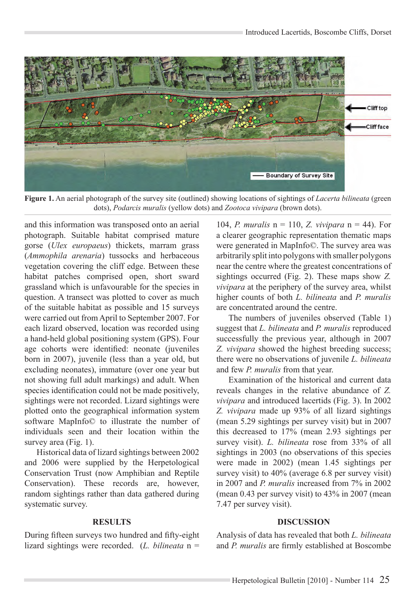

**Figure 1.** An aerial photograph of the survey site (outlined) showing locations of sightings of *Lacerta bilineata* (green dots), *Podarcis muralis* (yellow dots) and *Zootoca vivipara* (brown dots).

and this information was transposed onto an aerial photograph. Suitable habitat comprised mature gorse (*Ulex europaeus*) thickets, marram grass (*Ammophila arenaria*) tussocks and herbaceous vegetation covering the cliff edge. Between these habitat patches comprised open, short sward grassland which is unfavourable for the species in question. A transect was plotted to cover as much of the suitable habitat as possible and 15 surveys were carried out from April to September 2007. For each lizard observed, location was recorded using a hand-held global positioning system (GPS). Four age cohorts were identified: neonate (juveniles born in 2007), juvenile (less than a year old, but excluding neonates), immature (over one year but not showing full adult markings) and adult. When species identification could not be made positively, sightings were not recorded. Lizard sightings were plotted onto the geographical information system software MapInfo© to illustrate the number of individuals seen and their location within the survey area (Fig. 1).

Historical data of lizard sightings between 2002 and 2006 were supplied by the Herpetological Conservation Trust (now Amphibian and Reptile Conservation). These records are, however, random sightings rather than data gathered during systematic survey.

#### **RESULTS**

During fifteen surveys two hundred and fifty-eight lizard sightings were recorded. (*L. bilineata* n =

104, *P. muralis* n = 110, *Z. vivipara* n = 44). For a clearer geographic representation thematic maps were generated in MapInfo©. The survey area was arbitrarily split into polygons with smaller polygons near the centre where the greatest concentrations of sightings occurred (Fig. 2). These maps show *Z. vivipara* at the periphery of the survey area, whilst higher counts of both *L. bilineata* and *P. muralis*  are concentrated around the centre.

The numbers of juveniles observed (Table 1) suggest that *L. bilineata* and *P. muralis* reproduced successfully the previous year, although in 2007 *Z. vivipara* showed the highest breeding success; there were no observations of juvenile *L. bilineata*  and few *P. muralis* from that year.

Examination of the historical and current data reveals changes in the relative abundance of *Z. vivipara* and introduced lacertids (Fig. 3). In 2002 *Z. vivipara* made up 93% of all lizard sightings (mean 5.29 sightings per survey visit) but in 2007 this decreased to 17% (mean 2.93 sightings per survey visit). *L. bilineata* rose from 33% of all sightings in 2003 (no observations of this species were made in 2002) (mean 1.45 sightings per survey visit) to 40% (average 6.8 per survey visit) in 2007 and *P. muralis* increased from 7% in 2002 (mean 0.43 per survey visit) to 43% in 2007 (mean 7.47 per survey visit).

### **DISCUSSION**

Analysis of data has revealed that both *L. bilineata*  and *P. muralis* are firmly established at Boscombe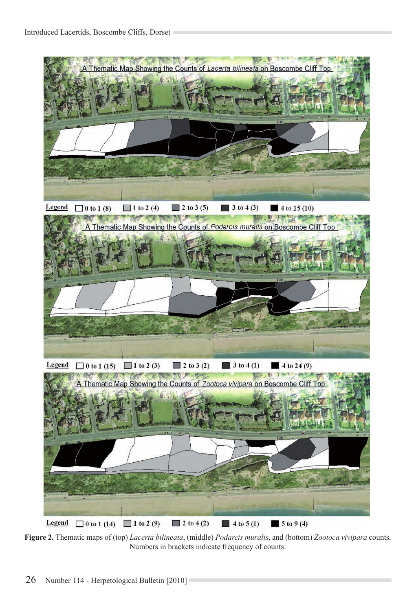

**Figure 2.** Thematic maps of (top) *Lacerta bilineata*, (middle) *Podarcis muralis*, and (bottom) *Zootoca vivipara* counts. Numbers in brackets indicate frequency of counts.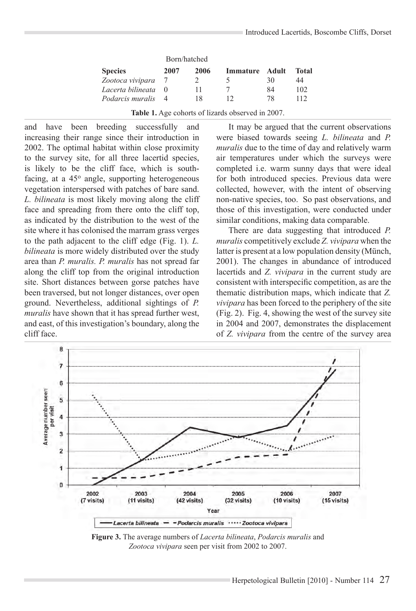|                   | Born/hatched |      |                |    |       |
|-------------------|--------------|------|----------------|----|-------|
| <b>Species</b>    | 2007         | 2006 | Immature Adult |    | Total |
| Zootoca vivipara  |              |      |                | 30 | 44    |
| Lacerta bilineata |              | 11   |                | 84 | 102   |
| Podarcis muralis  |              | 18   |                | 78 | 112   |

**Table 1.** Age cohorts of lizards observed in 2007.

and have been breeding successfully and increasing their range since their introduction in 2002. The optimal habitat within close proximity to the survey site, for all three lacertid species, is likely to be the cliff face, which is southfacing, at a  $45^\circ$  angle, supporting heterogeneous vegetation interspersed with patches of bare sand. *L. bilineata* is most likely moving along the cliff face and spreading from there onto the cliff top, as indicated by the distribution to the west of the site where it has colonised the marram grass verges to the path adjacent to the cliff edge (Fig. 1). *L. bilineata* is more widely distributed over the study area than *P. muralis. P. muralis* has not spread far along the cliff top from the original introduction site. Short distances between gorse patches have been traversed, but not longer distances, over open ground. Nevertheless, additional sightings of *P. muralis* have shown that it has spread further west, and east, of this investigation's boundary, along the cliff face.

It may be argued that the current observations were biased towards seeing *L. bilineata* and *P. muralis* due to the time of day and relatively warm air temperatures under which the surveys were completed i.e. warm sunny days that were ideal for both introduced species. Previous data were collected, however, with the intent of observing non-native species, too. So past observations, and those of this investigation, were conducted under similar conditions, making data comparable.

There are data suggesting that introduced *P. muralis* competitively exclude *Z. vivipara* when the latter is present at a low population density (Münch, 2001). The changes in abundance of introduced lacertids and *Z. vivipara* in the current study are consistent with interspecific competition, as are the thematic distribution maps, which indicate that *Z. vivipara* has been forced to the periphery of the site (Fig. 2). Fig. 4, showing the west of the survey site in 2004 and 2007, demonstrates the displacement of *Z. vivipara* from the centre of the survey area



**Figure 3.** The average numbers of *Lacerta bilineata*, *Podarcis muralis* and *Zootoca vivipara* seen per visit from 2002 to 2007.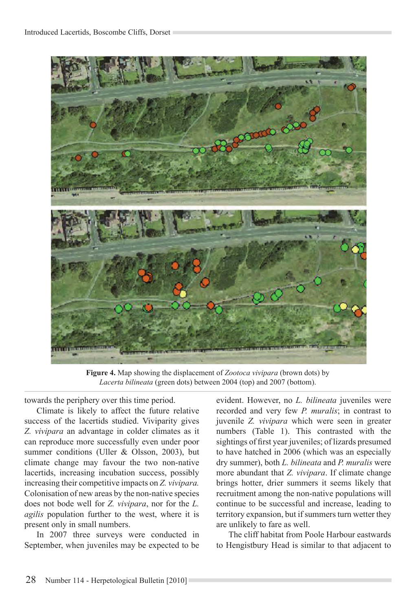

**Figure 4.** Map showing the displacement of *Zootoca vivipara* (brown dots) by *Lacerta bilineata* (green dots) between 2004 (top) and 2007 (bottom).

towards the periphery over this time period.

Climate is likely to affect the future relative success of the lacertids studied. Viviparity gives *Z. vivipara* an advantage in colder climates as it can reproduce more successfully even under poor summer conditions (Uller & Olsson, 2003), but climate change may favour the two non-native lacertids, increasing incubation success, possibly increasing their competitive impacts on *Z. vivipara.*  Colonisation of new areas by the non-native species does not bode well for *Z. vivipara*, nor for the *L. agilis* population further to the west, where it is present only in small numbers.

In 2007 three surveys were conducted in September, when juveniles may be expected to be evident. However, no *L. bilineata* juveniles were recorded and very few *P. muralis*; in contrast to juvenile *Z. vivipara* which were seen in greater numbers (Table 1). This contrasted with the sightings of first year juveniles; of lizards presumed to have hatched in 2006 (which was an especially dry summer), both *L. bilineata* and *P. muralis* were more abundant that *Z. vivipara*. If climate change brings hotter, drier summers it seems likely that recruitment among the non-native populations will continue to be successful and increase, leading to territory expansion, but if summers turn wetter they are unlikely to fare as well.

The cliff habitat from Poole Harbour eastwards to Hengistbury Head is similar to that adjacent to